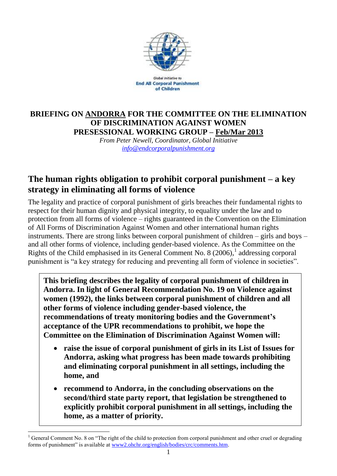

Global Initiative to **End All Corporal Punishment** of Children

#### **BRIEFING ON ANDORRA FOR THE COMMITTEE ON THE ELIMINATION OF DISCRIMINATION AGAINST WOMEN PRESESSIONAL WORKING GROUP – Feb/Mar 2013**

*From Peter Newell, Coordinator, Global Initiative [info@endcorporalpunishment.org](mailto:info@endcorporalpunishment.org)*

# **The human rights obligation to prohibit corporal punishment – a key strategy in eliminating all forms of violence**

The legality and practice of corporal punishment of girls breaches their fundamental rights to respect for their human dignity and physical integrity, to equality under the law and to protection from all forms of violence – rights guaranteed in the Convention on the Elimination of All Forms of Discrimination Against Women and other international human rights instruments. There are strong links between corporal punishment of children – girls and boys – and all other forms of violence, including gender-based violence. As the Committee on the Rights of the Child emphasised in its General Comment No. 8  $(2006)$ ,<sup>1</sup> addressing corporal punishment is "a key strategy for reducing and preventing all form of violence in societies".

**This briefing describes the legality of corporal punishment of children in Andorra. In light of General Recommendation No. 19 on Violence against women (1992), the links between corporal punishment of children and all other forms of violence including gender-based violence, the recommendations of treaty monitoring bodies and the Government's acceptance of the UPR recommendations to prohibit, we hope the Committee on the Elimination of Discrimination Against Women will:**

- **raise the issue of corporal punishment of girls in its List of Issues for Andorra, asking what progress has been made towards prohibiting and eliminating corporal punishment in all settings, including the home, and**
- **recommend to Andorra, in the concluding observations on the second/third state party report, that legislation be strengthened to explicitly prohibit corporal punishment in all settings, including the home, as a matter of priority.**

 $\overline{a}$ 

<sup>&</sup>lt;sup>1</sup> General Comment No. 8 on "The right of the child to protection from corporal punishment and other cruel or degrading forms of punishment" is available at [www2.ohchr.org/english/bodies/crc/comments.htm.](http://www.ohchr.org/english/bodies/crc/comments.htm)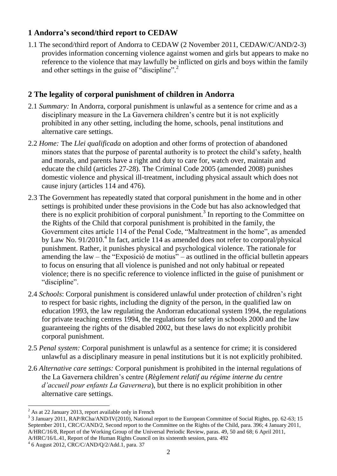### **1 Andorra's second/third report to CEDAW**

1.1 The second/third report of Andorra to CEDAW (2 November 2011, CEDAW/C/AND/2-3) provides information concerning violence against women and girls but appears to make no reference to the violence that may lawfully be inflicted on girls and boys within the family and other settings in the guise of "discipline".<sup>2</sup>

## **2 The legality of corporal punishment of children in Andorra**

- 2.1 *Summary:* In Andorra, corporal punishment is unlawful as a sentence for crime and as a disciplinary measure in the La Gavernera children's centre but it is not explicitly prohibited in any other setting, including the home, schools, penal institutions and alternative care settings.
- 2.2 *Home:* The *Llei qualificada* on adoption and other forms of protection of abandoned minors states that the purpose of parental authority is to protect the child's safety, health and morals, and parents have a right and duty to care for, watch over, maintain and educate the child (articles 27-28). The Criminal Code 2005 (amended 2008) punishes domestic violence and physical ill-treatment, including physical assault which does not cause injury (articles 114 and 476).
- 2.3 The Government has repeatedly stated that corporal punishment in the home and in other settings is prohibited under these provisions in the Code but has also acknowledged that there is no explicit prohibition of corporal punishment. 3 In reporting to the Committee on the Rights of the Child that corporal punishment is prohibited in the family, the Government cites article 114 of the Penal Code, "Maltreatment in the home", as amended by Law No. 91/2010.<sup>4</sup> In fact, article 114 as amended does not refer to corporal/physical punishment. Rather, it punishes physical and psychological violence. The rationale for amending the law – the "Exposició de motius" – as outlined in the official bulletin appears to focus on ensuring that all violence is punished and not only habitual or repeated violence; there is no specific reference to violence inflicted in the guise of punishment or "discipline".
- 2.4 *Schools*: Corporal punishment is considered unlawful under protection of children's right to respect for basic rights, including the dignity of the person, in the qualified law on education 1993, the law regulating the Andorran educational system 1994, the regulations for private teaching centres 1994, the regulations for safety in schools 2000 and the law guaranteeing the rights of the disabled 2002, but these laws do not explicitly prohibit corporal punishment.
- 2.5 *Penal system:* Corporal punishment is unlawful as a sentence for crime; it is considered unlawful as a disciplinary measure in penal institutions but it is not explicitly prohibited.
- 2.6 *Alternative care settings:* Corporal punishment is prohibited in the internal regulations of the La Gavernera children's centre (*Règlement relatif au régime interne du centre d'accueil pour enfants La Gavernera*), but there is no explicit prohibition in other alternative care settings.

 $\overline{a}$  $2^2$  As at 22 January 2013, report available only in French

<sup>&</sup>lt;sup>3</sup> 3 January 2011, RAP/RCha/AND/IV(2010), National report to the European Committee of Social Rights, pp. 62-63; 15 September 2011, CRC/C/AND/2, Second report to the Committee on the Rights of the Child, para. 396; 4 January 2011, A/HRC/16/8, Report of the Working Group of the Universal Periodic Review, paras. 49, 50 and 68; 6 April 2011, A/HRC/16/L.41, Report of the Human Rights Council on its sixteenth session, para. 492

<sup>4</sup> 6 August 2012, CRC/C/AND/Q/2/Add.1, para. 37